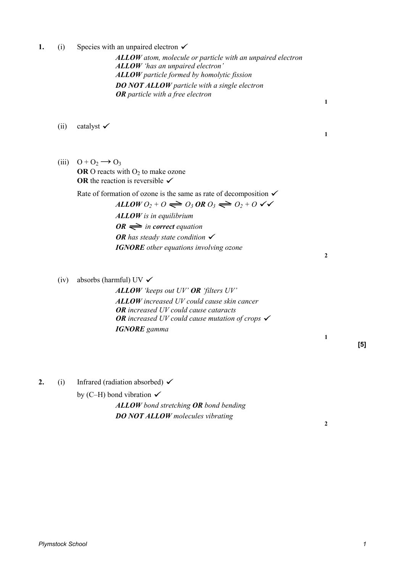**1.** (i) Species with an unpaired electron  $\checkmark$ 

*ALLOW atom, molecule or particle with an unpaired electron ALLOW 'has an unpaired electron' ALLOW particle formed by homolytic fission DO NOT ALLOW particle with a single electron OR particle with a free electron* 

- (ii) catalyst  $\checkmark$
- (iii)  $Q + Q_2 \rightarrow Q_3$ **OR** O reacts with  $O_2$  to make ozone **OR** the reaction is reversible  $\checkmark$

Rate of formation of ozone is the same as rate of decomposition  $\checkmark$ 

 $ALLOWO_2 + O \rightleftharpoons O_3 \textit{ OR } O_3 \rightleftharpoons O_2 + O$ *ALLOW is in equilibrium*   $OR \implies$  *in correct equation OR has steady state condition IGNORE other equations involving ozone* 

(iv) absorbs (harmful) UV  $\checkmark$ 

*ALLOW 'keeps out UV' OR 'filters UV' ALLOW increased UV could cause skin cancer OR increased UV could cause cataracts OR increased UV could cause mutation of crops IGNORE gamma* 

**[5]** 

**2.** (i) Infrared (radiation absorbed)  $\checkmark$ 

by (C–H) bond vibration  $\checkmark$ 

*ALLOW bond stretching OR bond bending DO NOT ALLOW molecules vibrating* 

**2** 

**1** 

**1** 

**2** 

**1**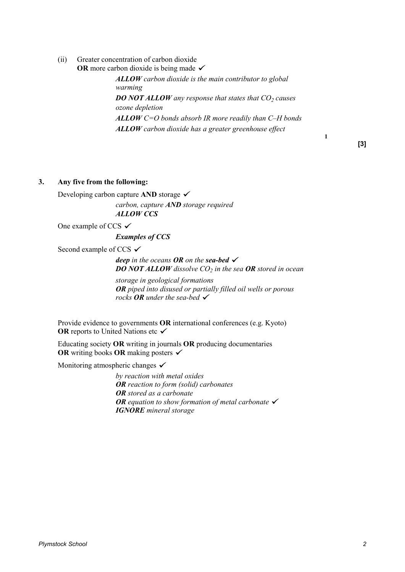(ii) Greater concentration of carbon dioxide **OR** more carbon dioxide is being made  $\checkmark$ 

> *ALLOW carbon dioxide is the main contributor to global warming DO NOT ALLOW any response that states that CO<sup>2</sup> causes ozone depletion ALLOW C=O bonds absorb IR more readily than C–H bonds ALLOW carbon dioxide has a greater greenhouse effect*

> > **[3]**

**1** 

# **3. Any five from the following:**

Developing carbon capture **AND** storage

*carbon, capture AND storage required ALLOW CCS*

One example of CCS  $\checkmark$ 

*Examples of CCS* 

Second example of CCS  $\checkmark$ 

*deep in the oceans OR on the sea-bed DO NOT ALLOW dissolve CO<sup>2</sup> in the sea OR stored in ocean* 

*storage in geological formations OR piped into disused or partially filled oil wells or porous rocks OR under the sea-bed* 

 Provide evidence to governments **OR** international conferences (e.g. Kyoto) **OR** reports to United Nations etc  $\checkmark$ 

 Educating society **OR** writing in journals **OR** producing documentaries **OR** writing books **OR** making posters

Monitoring atmospheric changes  $\checkmark$ 

*by reaction with metal oxides OR reaction to form (solid) carbonates OR stored as a carbonate OR equation to show formation of metal carbonate IGNORE mineral storage*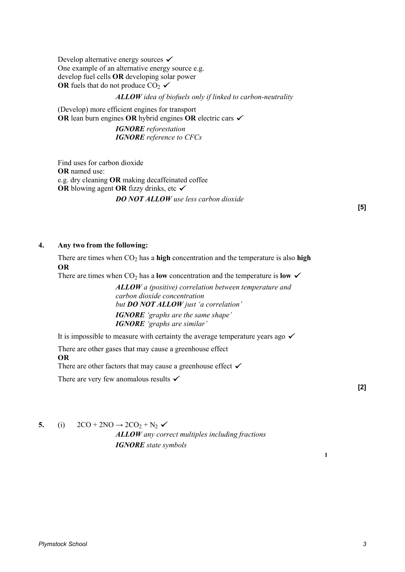Develop alternative energy sources  $\checkmark$ One example of an alternative energy source e.g. develop fuel cells **OR** developing solar power **OR** fuels that do not produce  $CO_2 \checkmark$ 

### *ALLOW idea of biofuels only if linked to carbon-neutrality*

 (Develop) more efficient engines for transport **OR** lean burn engines **OR** hybrid engines **OR** electric cars

> *IGNORE reforestation IGNORE reference to CFCs*

 Find uses for carbon dioxide **OR** named use: e.g. dry cleaning **OR** making decaffeinated coffee **OR** blowing agent **OR** fizzy drinks, etc *DO NOT ALLOW use less carbon dioxide* 

### **4. Any two from the following:**

There are times when  $CO<sub>2</sub>$  has a **high** concentration and the temperature is also **high OR** 

There are times when  $CO<sub>2</sub>$  has a **low** concentration and the temperature is **low** 

*ALLOW a (positive) correlation between temperature and carbon dioxide concentration but DO NOT ALLOW just 'a correlation' IGNORE 'graphs are the same shape' IGNORE 'graphs are similar'* 

It is impossible to measure with certainty the average temperature years ago  $\checkmark$ 

There are other gases that may cause a greenhouse effect

#### **OR**

There are other factors that may cause a greenhouse effect  $\checkmark$ 

There are very few anomalous results  $\checkmark$ 

**[2]** 

**1**

**5.** (i)  $2CO + 2NO \rightarrow 2CO_2 + N_2$ *ALLOW any correct multiples including fractions IGNORE state symbols*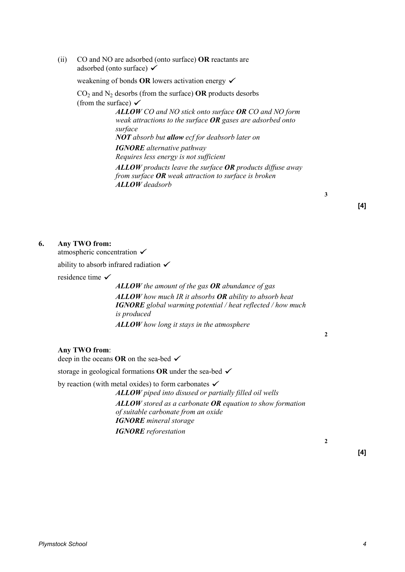(ii) CO and NO are adsorbed (onto surface) **OR** reactants are adsorbed (onto surface)  $\checkmark$ 

weakening of bonds **OR** lowers activation energy

 $CO<sub>2</sub>$  and N<sub>2</sub> desorbs (from the surface) **OR** products desorbs (from the surface)  $\checkmark$ 

> *ALLOW CO and NO stick onto surface OR CO and NO form weak attractions to the surface OR gases are adsorbed onto surface NOT absorb but allow ecf for deabsorb later on IGNORE alternative pathway Requires less energy is not sufficient ALLOW products leave the surface OR products diffuse away*

*from surface OR weak attraction to surface is broken ALLOW deadsorb*

**3**

## **[4]**

#### **6. Any TWO from:**

atmospheric concentration  $\checkmark$ 

ability to absorb infrared radiation  $\checkmark$ 

residence time

*ALLOW the amount of the gas OR abundance of gas ALLOW how much IR it absorbs OR ability to absorb heat IGNORE global warming potential / heat reflected / how much is produced ALLOW how long it stays in the atmosphere*

#### **Any TWO from**:

deep in the oceans **OR** on the sea-bed

storage in geological formations **OR** under the sea-bed

by reaction (with metal oxides) to form carbonates  $\checkmark$ 

*ALLOW piped into disused or partially filled oil wells ALLOW stored as a carbonate OR equation to show formation of suitable carbonate from an oxide IGNORE mineral storage IGNORE reforestation*

**2**

**[4]**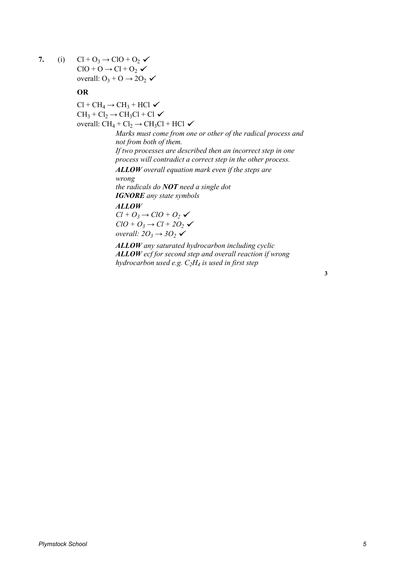**7.** (i)  $Cl + O_3 \rightarrow ClO + O_2$  $ClO + O \rightarrow Cl + O_2 \checkmark$ overall:  $O_3 + O \rightarrow 2O_2$ 

## **OR**

 $Cl + CH_4 \rightarrow CH_3 + HCl$  $CH_3 + Cl_2 \rightarrow CH_3Cl + Cl$ overall:  $CH_4 + Cl_2 \rightarrow CH_3Cl + HCl$ *Marks must come from one or other of the radical process and not from both of them. If two processes are described then an incorrect step in one process will contradict a correct step in the other process. ALLOW overall equation mark even if the steps are wrong the radicals do NOT need a single dot IGNORE any state symbols ALLOW*  $Cl + O_3 \rightarrow ClO + O_2$  $ClO + O_3 \rightarrow Cl + 2O_2$ *overall: 2O<sup>3</sup> → 3O<sup>2</sup> ALLOW any saturated hydrocarbon including cyclic*

> *ALLOW ecf for second step and overall reaction if wrong hydrocarbon used e.g. C2H<sup>4</sup> is used in first step*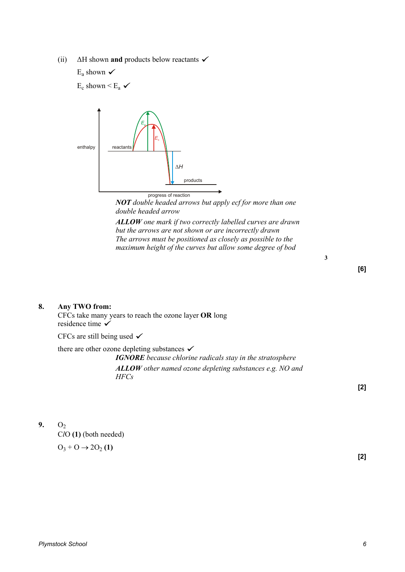(ii) ∆H shown **and** products below reactants E<sup>a</sup> shown

 $E_c$  shown  $\leq E_a$ 



*NOT double headed arrows but apply ecf for more than one double headed arrow*

*ALLOW one mark if two correctly labelled curves are drawn but the arrows are not shown or are incorrectly drawn The arrows must be positioned as closely as possible to the maximum height of the curves but allow some degree of bod*

**3**

## **[6]**

### **8. Any TWO from:**

CFCs take many years to reach the ozone layer **OR** long residence time  $\checkmark$ 

CFCs are still being used  $\checkmark$ 

there are other ozone depleting substances  $\checkmark$ 

*IGNORE because chlorine radicals stay in the stratosphere ALLOW other named ozone depleting substances e.g. NO and HFCs*

**[2]**

**9.**  $O_2$ C*l*O **(1)** (both needed)

$$
\mathrm{O}_3\text{+O}\rightarrow2\mathrm{O}_2\left(1\right)
$$

**[2]**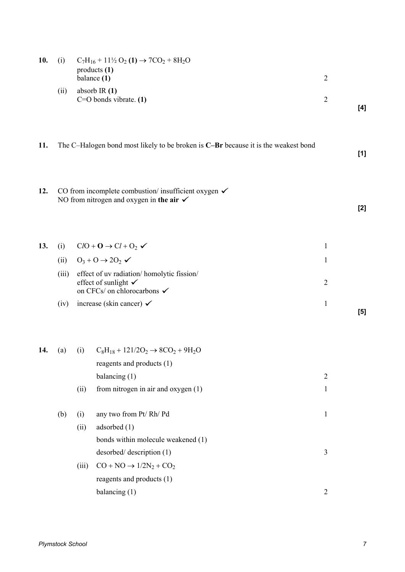| 10. | (i)                                                                                |       | $C_7H_{16}$ + 11 <sup>1</sup> / <sub>2</sub> O <sub>2</sub> (1) $\rightarrow$ 7CO <sub>2</sub> + 8H <sub>2</sub> O<br>products(1)<br>balance (1) | $\overline{2}$ |       |
|-----|------------------------------------------------------------------------------------|-------|--------------------------------------------------------------------------------------------------------------------------------------------------|----------------|-------|
|     | (ii)                                                                               |       | absorb IR $(1)$<br>$C=O$ bonds vibrate. $(1)$                                                                                                    | $\overline{2}$ | [4]   |
| 11. | The C-Halogen bond most likely to be broken is C-Br because it is the weakest bond |       |                                                                                                                                                  |                | $[1]$ |
| 12. |                                                                                    |       | CO from incomplete combustion/ insufficient oxygen $\checkmark$<br>NO from nitrogen and oxygen in the air $\checkmark$                           |                | $[2]$ |
| 13. | (i)                                                                                |       | $ClO + O \rightarrow Cl + O_2$                                                                                                                   | $\mathbf{1}$   |       |
|     | (ii)                                                                               |       | $0_3 + 0 \rightarrow 20_2 \checkmark$                                                                                                            | $\mathbf{1}$   |       |
|     | (iii)                                                                              |       | effect of uv radiation/homolytic fission/<br>effect of sunlight $\checkmark$<br>on CFCs/ on chlorocarbons $\checkmark$                           | $\overline{2}$ |       |
|     | (iv)                                                                               |       | increase (skin cancer) $\checkmark$                                                                                                              | $\mathbf{1}$   | $[5]$ |
| 14. | (a)                                                                                | (i)   | $C_8H_{18} + 121/2O_2 \rightarrow 8CO_2 + 9H_2O$<br>reagents and products (1)                                                                    |                |       |
|     |                                                                                    |       | balancing (1)                                                                                                                                    | $\overline{2}$ |       |
|     |                                                                                    | (ii)  | from nitrogen in air and oxygen (1)                                                                                                              | $\mathbf{1}$   |       |
|     | (b)                                                                                | (i)   | any two from Pt/Rh/Pd                                                                                                                            | $\mathbf{1}$   |       |
|     |                                                                                    | (ii)  | adsorbed (1)                                                                                                                                     |                |       |
|     |                                                                                    |       | bonds within molecule weakened (1)                                                                                                               |                |       |
|     |                                                                                    |       | desorbed/description (1)                                                                                                                         | $\mathfrak{Z}$ |       |
|     |                                                                                    | (iii) | $CO + NO \rightarrow 1/2N_2 + CO_2$                                                                                                              |                |       |
|     |                                                                                    |       | reagents and products (1)                                                                                                                        |                |       |
|     |                                                                                    |       | balancing $(1)$                                                                                                                                  | $\overline{2}$ |       |